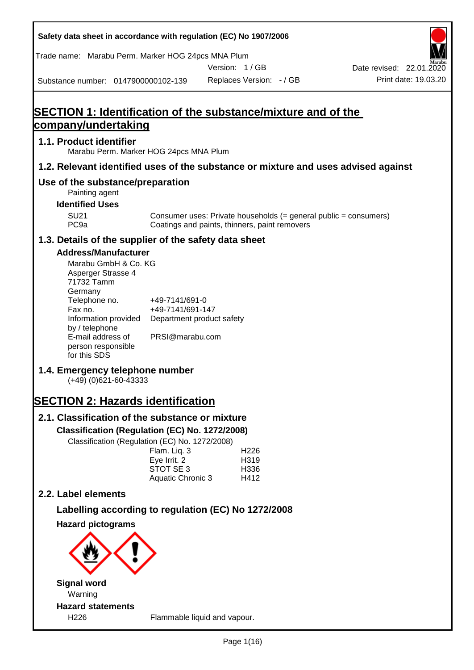| Safety data sheet in accordance with regulation (EC) No 1907/2006 |                              |                                                                                                                   |                                                  |
|-------------------------------------------------------------------|------------------------------|-------------------------------------------------------------------------------------------------------------------|--------------------------------------------------|
| Trade name: Marabu Perm. Marker HOG 24pcs MNA Plum                |                              |                                                                                                                   |                                                  |
| Substance number: 0147900000102-139                               |                              | Version: 1/GB<br>Replaces Version: - / GB                                                                         | Date revised: 22.01.2020<br>Print date: 19.03.20 |
|                                                                   |                              |                                                                                                                   |                                                  |
|                                                                   |                              |                                                                                                                   |                                                  |
| company/undertaking                                               |                              | <b>SECTION 1: Identification of the substance/mixture and of the</b>                                              |                                                  |
| 1.1. Product identifier                                           |                              |                                                                                                                   |                                                  |
| Marabu Perm. Marker HOG 24pcs MNA Plum                            |                              |                                                                                                                   |                                                  |
|                                                                   |                              | 1.2. Relevant identified uses of the substance or mixture and uses advised against                                |                                                  |
| Use of the substance/preparation<br>Painting agent                |                              |                                                                                                                   |                                                  |
| <b>Identified Uses</b>                                            |                              |                                                                                                                   |                                                  |
| <b>SU21</b><br>PC <sub>9a</sub>                                   |                              | Consumer uses: Private households (= general public = consumers)<br>Coatings and paints, thinners, paint removers |                                                  |
| 1.3. Details of the supplier of the safety data sheet             |                              |                                                                                                                   |                                                  |
| <b>Address/Manufacturer</b>                                       |                              |                                                                                                                   |                                                  |
| Marabu GmbH & Co. KG<br>Asperger Strasse 4<br>71732 Tamm          |                              |                                                                                                                   |                                                  |
| Germany<br>Telephone no.                                          | +49-7141/691-0               |                                                                                                                   |                                                  |
| Fax no.                                                           | +49-7141/691-147             |                                                                                                                   |                                                  |
| Information provided<br>by / telephone                            | Department product safety    |                                                                                                                   |                                                  |
| E-mail address of<br>person responsible<br>for this SDS           | PRSI@marabu.com              |                                                                                                                   |                                                  |
| 1.4. Emergency telephone number<br>$(+49)$ (0)621-60-43333        |                              |                                                                                                                   |                                                  |
| <b>SECTION 2: Hazards identification</b>                          |                              |                                                                                                                   |                                                  |
| 2.1. Classification of the substance or mixture                   |                              |                                                                                                                   |                                                  |
| Classification (Regulation (EC) No. 1272/2008)                    |                              |                                                                                                                   |                                                  |
| Classification (Regulation (EC) No. 1272/2008)                    |                              |                                                                                                                   |                                                  |
|                                                                   | Flam. Liq. 3<br>Eye Irrit. 2 | H <sub>226</sub><br>H319                                                                                          |                                                  |
|                                                                   | STOT SE 3                    | H336                                                                                                              |                                                  |
| 2.2. Label elements                                               | Aquatic Chronic 3            | H412                                                                                                              |                                                  |
|                                                                   |                              |                                                                                                                   |                                                  |
| <b>Hazard pictograms</b>                                          |                              | Labelling according to regulation (EC) No 1272/2008                                                               |                                                  |
|                                                                   |                              |                                                                                                                   |                                                  |
|                                                                   |                              |                                                                                                                   |                                                  |
|                                                                   |                              |                                                                                                                   |                                                  |
| <b>Signal word</b>                                                |                              |                                                                                                                   |                                                  |
| Warning<br><b>Hazard statements</b>                               |                              |                                                                                                                   |                                                  |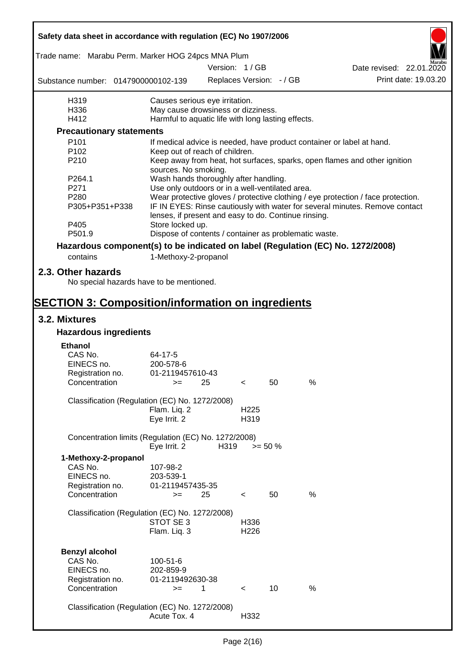| Safety data sheet in accordance with regulation (EC) No 1907/2006 |                                                       |               |                          |                          |                                                                                  |
|-------------------------------------------------------------------|-------------------------------------------------------|---------------|--------------------------|--------------------------|----------------------------------------------------------------------------------|
| Trade name: Marabu Perm. Marker HOG 24pcs MNA Plum                |                                                       |               |                          |                          |                                                                                  |
|                                                                   |                                                       | Version: 1/GB |                          |                          | Date revised: 22.01.2020                                                         |
| Substance number: 0147900000102-139                               |                                                       |               |                          | Replaces Version: - / GB | Print date: 19.03.20                                                             |
| H319                                                              | Causes serious eye irritation.                        |               |                          |                          |                                                                                  |
| H336                                                              | May cause drowsiness or dizziness.                    |               |                          |                          |                                                                                  |
| H412                                                              | Harmful to aquatic life with long lasting effects.    |               |                          |                          |                                                                                  |
| <b>Precautionary statements</b>                                   |                                                       |               |                          |                          |                                                                                  |
| P <sub>101</sub>                                                  |                                                       |               |                          |                          | If medical advice is needed, have product container or label at hand.            |
| P <sub>102</sub>                                                  | Keep out of reach of children.                        |               |                          |                          |                                                                                  |
| P210                                                              | sources. No smoking.                                  |               |                          |                          | Keep away from heat, hot surfaces, sparks, open flames and other ignition        |
| P264.1                                                            | Wash hands thoroughly after handling.                 |               |                          |                          |                                                                                  |
| P271                                                              | Use only outdoors or in a well-ventilated area.       |               |                          |                          |                                                                                  |
| P280                                                              |                                                       |               |                          |                          | Wear protective gloves / protective clothing / eye protection / face protection. |
| P305+P351+P338                                                    | lenses, if present and easy to do. Continue rinsing.  |               |                          |                          | IF IN EYES: Rinse cautiously with water for several minutes. Remove contact      |
| P405                                                              | Store locked up.                                      |               |                          |                          |                                                                                  |
| P501.9                                                            | Dispose of contents / container as problematic waste. |               |                          |                          |                                                                                  |
|                                                                   |                                                       |               |                          |                          | Hazardous component(s) to be indicated on label (Regulation (EC) No. 1272/2008)  |
| contains                                                          | 1-Methoxy-2-propanol                                  |               |                          |                          |                                                                                  |
| 2.3. Other hazards<br>No special hazards have to be mentioned.    |                                                       |               |                          |                          |                                                                                  |
|                                                                   |                                                       |               |                          |                          |                                                                                  |
| <b>SECTION 3: Composition/information on ingredients</b>          |                                                       |               |                          |                          |                                                                                  |
| 3.2. Mixtures                                                     |                                                       |               |                          |                          |                                                                                  |
| <b>Hazardous ingredients</b>                                      |                                                       |               |                          |                          |                                                                                  |
| <b>Ethanol</b>                                                    |                                                       |               |                          |                          |                                                                                  |
| CAS No.                                                           | 64-17-5                                               |               |                          |                          |                                                                                  |
| EINECS no.                                                        | 200-578-6                                             |               |                          |                          |                                                                                  |
| Registration no.                                                  | 01-2119457610-43                                      |               |                          |                          |                                                                                  |
| Concentration                                                     | $>=$ 25                                               |               | $\epsilon$               | 50                       | %                                                                                |
| Classification (Regulation (EC) No. 1272/2008)                    |                                                       |               |                          |                          |                                                                                  |
|                                                                   | Flam. Liq. 2                                          |               | H <sub>225</sub>         |                          |                                                                                  |
|                                                                   | Eye Irrit. 2                                          |               | H319                     |                          |                                                                                  |
| Concentration limits (Regulation (EC) No. 1272/2008)              |                                                       |               |                          |                          |                                                                                  |
|                                                                   | Eye Irrit. 2                                          | H319          | $>= 50 \%$               |                          |                                                                                  |
| 1-Methoxy-2-propanol                                              |                                                       |               |                          |                          |                                                                                  |
| CAS No.                                                           | 107-98-2                                              |               |                          |                          |                                                                                  |
| EINECS no.                                                        | 203-539-1                                             |               |                          |                          |                                                                                  |
| Registration no.<br>Concentration                                 | 01-2119457435-35                                      |               |                          |                          | %                                                                                |
|                                                                   | $=$                                                   | 25            | $\overline{\phantom{0}}$ | 50                       |                                                                                  |
| Classification (Regulation (EC) No. 1272/2008)                    |                                                       |               |                          |                          |                                                                                  |
|                                                                   | STOT SE 3                                             |               | H336                     |                          |                                                                                  |
|                                                                   | Flam. Liq. 3                                          |               | H <sub>226</sub>         |                          |                                                                                  |
|                                                                   |                                                       |               |                          |                          |                                                                                  |
| <b>Benzyl alcohol</b>                                             |                                                       |               |                          |                          |                                                                                  |
| CAS No.                                                           | 100-51-6                                              |               |                          |                          |                                                                                  |
| EINECS no.                                                        | 202-859-9                                             |               |                          |                          |                                                                                  |
| Registration no.                                                  | 01-2119492630-38                                      |               |                          |                          |                                                                                  |
| Concentration                                                     | $>=$                                                  | 1             | $\lt$                    | 10                       | $\%$                                                                             |
|                                                                   |                                                       |               |                          |                          |                                                                                  |
| Classification (Regulation (EC) No. 1272/2008)                    |                                                       |               |                          |                          |                                                                                  |
|                                                                   | Acute Tox. 4                                          |               | H332                     |                          |                                                                                  |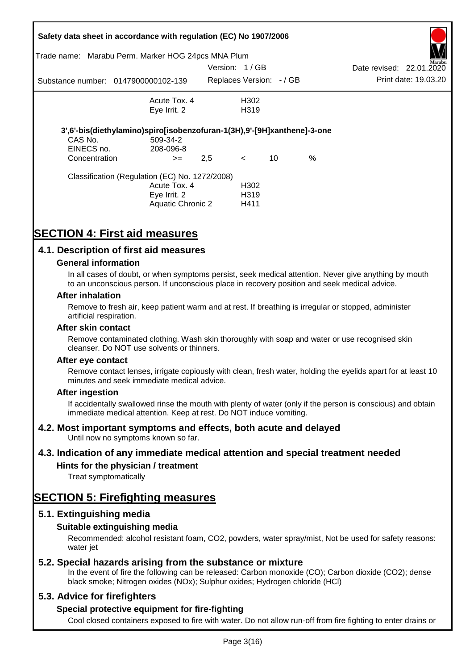|                                        | Safety data sheet in accordance with regulation (EC) No 1907/2006<br>Trade name: Marabu Perm. Marker HOG 24pcs MNA Plum |               |                                   |    |      |                          |                      |
|----------------------------------------|-------------------------------------------------------------------------------------------------------------------------|---------------|-----------------------------------|----|------|--------------------------|----------------------|
|                                        |                                                                                                                         | Version: 1/GB |                                   |    |      | Date revised: 22.01.2020 | Aarabu               |
|                                        | Substance number: 0147900000102-139                                                                                     |               | Replaces Version: -/ GB           |    |      |                          | Print date: 19.03.20 |
|                                        | Acute Tox, 4                                                                                                            |               | H302                              |    |      |                          |                      |
|                                        | Eye Irrit. 2                                                                                                            |               | H319                              |    |      |                          |                      |
| CAS No.<br>EINECS no.<br>Concentration | 3',6'-bis(diethylamino)spiro[isobenzofuran-1(3H),9'-[9H]xanthene]-3-one<br>509-34-2<br>208-096-8<br>$>=$                | 2,5           | $\lt$                             | 10 | $\%$ |                          |                      |
|                                        | Classification (Regulation (EC) No. 1272/2008)<br>Acute Tox. 4<br>Eye Irrit. 2<br>Aquatic Chronic 2                     |               | H302<br>H <sub>3</sub> 19<br>H411 |    |      |                          |                      |

## **SECTION 4: First aid measures**

## **4.1. Description of first aid measures**

#### **General information**

In all cases of doubt, or when symptoms persist, seek medical attention. Never give anything by mouth to an unconscious person. If unconscious place in recovery position and seek medical advice.

#### **After inhalation**

Remove to fresh air, keep patient warm and at rest. If breathing is irregular or stopped, administer artificial respiration.

#### **After skin contact**

Remove contaminated clothing. Wash skin thoroughly with soap and water or use recognised skin cleanser. Do NOT use solvents or thinners.

#### **After eye contact**

Remove contact lenses, irrigate copiously with clean, fresh water, holding the eyelids apart for at least 10 minutes and seek immediate medical advice.

#### **After ingestion**

If accidentally swallowed rinse the mouth with plenty of water (only if the person is conscious) and obtain immediate medical attention. Keep at rest. Do NOT induce vomiting.

## **4.2. Most important symptoms and effects, both acute and delayed**

Until now no symptoms known so far.

## **4.3. Indication of any immediate medical attention and special treatment needed**

## **Hints for the physician / treatment**

Treat symptomatically

## **SECTION 5: Firefighting measures**

## **5.1. Extinguishing media**

## **Suitable extinguishing media**

Recommended: alcohol resistant foam, CO2, powders, water spray/mist, Not be used for safety reasons: water *iet* 

## **5.2. Special hazards arising from the substance or mixture**

In the event of fire the following can be released: Carbon monoxide (CO); Carbon dioxide (CO2); dense black smoke; Nitrogen oxides (NOx); Sulphur oxides; Hydrogen chloride (HCl)

## **5.3. Advice for firefighters**

## **Special protective equipment for fire-fighting**

Cool closed containers exposed to fire with water. Do not allow run-off from fire fighting to enter drains or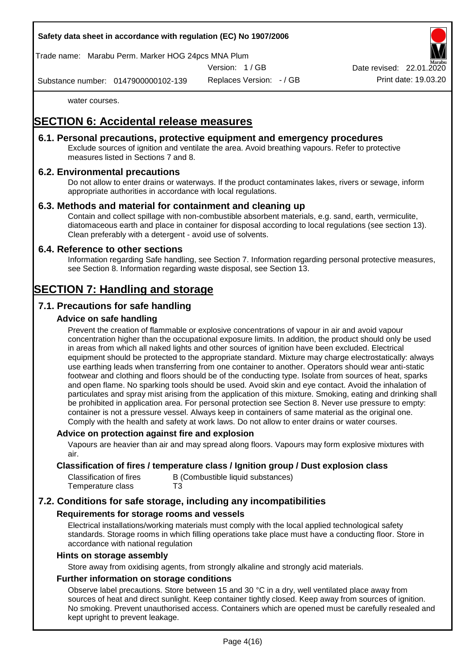## **Safety data sheet in accordance with regulation (EC) No 1907/2006**

Trade name: Marabu Perm. Marker HOG 24pcs MNA Plum

Version: 1 / GB

Date revised: 22.01.

Substance number: 0147900000102-139

Replaces Version: - / GB Print date: 19.03.20

water courses.

## **SECTION 6: Accidental release measures**

## **6.1. Personal precautions, protective equipment and emergency procedures**

Exclude sources of ignition and ventilate the area. Avoid breathing vapours. Refer to protective measures listed in Sections 7 and 8.

## **6.2. Environmental precautions**

Do not allow to enter drains or waterways. If the product contaminates lakes, rivers or sewage, inform appropriate authorities in accordance with local regulations.

#### **6.3. Methods and material for containment and cleaning up**

Contain and collect spillage with non-combustible absorbent materials, e.g. sand, earth, vermiculite, diatomaceous earth and place in container for disposal according to local regulations (see section 13). Clean preferably with a detergent - avoid use of solvents.

#### **6.4. Reference to other sections**

Information regarding Safe handling, see Section 7. Information regarding personal protective measures, see Section 8. Information regarding waste disposal, see Section 13.

## **SECTION 7: Handling and storage**

## **7.1. Precautions for safe handling**

#### **Advice on safe handling**

Prevent the creation of flammable or explosive concentrations of vapour in air and avoid vapour concentration higher than the occupational exposure limits. In addition, the product should only be used in areas from which all naked lights and other sources of ignition have been excluded. Electrical equipment should be protected to the appropriate standard. Mixture may charge electrostatically: always use earthing leads when transferring from one container to another. Operators should wear anti-static footwear and clothing and floors should be of the conducting type. Isolate from sources of heat, sparks and open flame. No sparking tools should be used. Avoid skin and eye contact. Avoid the inhalation of particulates and spray mist arising from the application of this mixture. Smoking, eating and drinking shall be prohibited in application area. For personal protection see Section 8. Never use pressure to empty: container is not a pressure vessel. Always keep in containers of same material as the original one. Comply with the health and safety at work laws. Do not allow to enter drains or water courses.

#### **Advice on protection against fire and explosion**

Vapours are heavier than air and may spread along floors. Vapours may form explosive mixtures with air.

#### **Classification of fires / temperature class / Ignition group / Dust explosion class**

| Classification of fires | B (Combustible liquid substances) |
|-------------------------|-----------------------------------|
| Temperature class       | T3                                |

## **7.2. Conditions for safe storage, including any incompatibilities**

#### **Requirements for storage rooms and vessels**

Electrical installations/working materials must comply with the local applied technological safety standards. Storage rooms in which filling operations take place must have a conducting floor. Store in accordance with national regulation

#### **Hints on storage assembly**

Store away from oxidising agents, from strongly alkaline and strongly acid materials.

### **Further information on storage conditions**

Observe label precautions. Store between 15 and 30 °C in a dry, well ventilated place away from sources of heat and direct sunlight. Keep container tightly closed. Keep away from sources of ignition. No smoking. Prevent unauthorised access. Containers which are opened must be carefully resealed and kept upright to prevent leakage.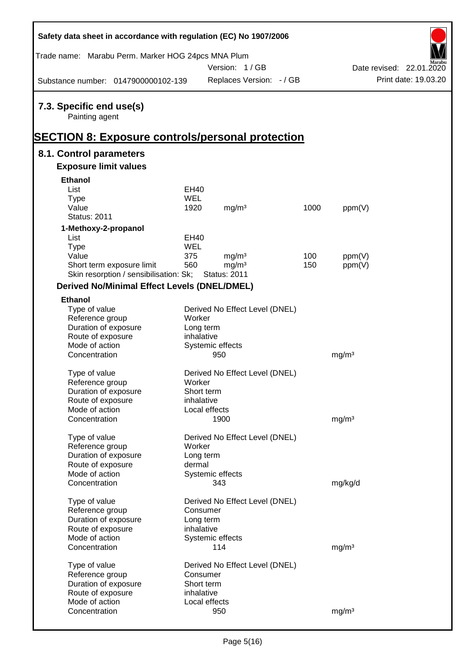| Safety data sheet in accordance with regulation (EC) No 1907/2006                                     |                      |                                          |      |                   |                          |
|-------------------------------------------------------------------------------------------------------|----------------------|------------------------------------------|------|-------------------|--------------------------|
| Trade name: Marabu Perm. Marker HOG 24pcs MNA Plum                                                    |                      | Version: 1/GB                            |      |                   | Date revised: 22.01.2020 |
| Substance number: 0147900000102-139                                                                   |                      | Replaces Version: - / GB                 |      |                   | Print date: 19.03.20     |
| 7.3. Specific end use(s)<br>Painting agent<br><b>SECTION 8: Exposure controls/personal protection</b> |                      |                                          |      |                   |                          |
| 8.1. Control parameters                                                                               |                      |                                          |      |                   |                          |
| <b>Exposure limit values</b>                                                                          |                      |                                          |      |                   |                          |
| <b>Ethanol</b>                                                                                        |                      |                                          |      |                   |                          |
| List                                                                                                  | EH40                 |                                          |      |                   |                          |
| <b>Type</b>                                                                                           | <b>WEL</b>           |                                          |      |                   |                          |
| Value                                                                                                 | 1920                 | mg/m <sup>3</sup>                        | 1000 | ppm(V)            |                          |
| <b>Status: 2011</b>                                                                                   |                      |                                          |      |                   |                          |
| 1-Methoxy-2-propanol                                                                                  |                      |                                          |      |                   |                          |
| List                                                                                                  | EH40                 |                                          |      |                   |                          |
| <b>Type</b>                                                                                           | <b>WEL</b>           |                                          |      |                   |                          |
| Value                                                                                                 | 375                  | mg/m <sup>3</sup>                        | 100  | ppm(V)            |                          |
| Short term exposure limit<br>Skin resorption / sensibilisation: Sk;                                   | 560                  | mg/m <sup>3</sup><br><b>Status: 2011</b> | 150  | ppm(V)            |                          |
|                                                                                                       |                      |                                          |      |                   |                          |
| <b>Derived No/Minimal Effect Levels (DNEL/DMEL)</b>                                                   |                      |                                          |      |                   |                          |
| <b>Ethanol</b>                                                                                        |                      |                                          |      |                   |                          |
| Type of value                                                                                         |                      | Derived No Effect Level (DNEL)           |      |                   |                          |
| Reference group<br>Duration of exposure                                                               | Worker<br>Long term  |                                          |      |                   |                          |
| Route of exposure                                                                                     | inhalative           |                                          |      |                   |                          |
| Mode of action                                                                                        |                      | Systemic effects                         |      |                   |                          |
| Concentration                                                                                         |                      | 950                                      |      | mg/m <sup>3</sup> |                          |
|                                                                                                       |                      |                                          |      |                   |                          |
| Type of value                                                                                         |                      | Derived No Effect Level (DNEL)           |      |                   |                          |
| Reference group                                                                                       | Worker<br>Short term |                                          |      |                   |                          |
| Duration of exposure<br>Route of exposure                                                             | inhalative           |                                          |      |                   |                          |
| Mode of action                                                                                        |                      | Local effects                            |      |                   |                          |
| Concentration                                                                                         |                      | 1900                                     |      | mg/m <sup>3</sup> |                          |
|                                                                                                       |                      |                                          |      |                   |                          |
| Type of value                                                                                         |                      | Derived No Effect Level (DNEL)           |      |                   |                          |
| Reference group                                                                                       | Worker               |                                          |      |                   |                          |
| Duration of exposure                                                                                  | Long term            |                                          |      |                   |                          |
| Route of exposure<br>Mode of action                                                                   | dermal               |                                          |      |                   |                          |
| Concentration                                                                                         |                      | Systemic effects<br>343                  |      | mg/kg/d           |                          |
|                                                                                                       |                      |                                          |      |                   |                          |
| Type of value                                                                                         |                      | Derived No Effect Level (DNEL)           |      |                   |                          |
| Reference group                                                                                       | Consumer             |                                          |      |                   |                          |
| Duration of exposure                                                                                  | Long term            |                                          |      |                   |                          |
| Route of exposure                                                                                     | inhalative           |                                          |      |                   |                          |
| Mode of action                                                                                        |                      | Systemic effects                         |      |                   |                          |
| Concentration                                                                                         |                      | 114                                      |      | mg/m <sup>3</sup> |                          |
| Type of value                                                                                         |                      | Derived No Effect Level (DNEL)           |      |                   |                          |
| Reference group                                                                                       | Consumer             |                                          |      |                   |                          |
| Duration of exposure                                                                                  | Short term           |                                          |      |                   |                          |
| Route of exposure                                                                                     | inhalative           |                                          |      |                   |                          |
| Mode of action                                                                                        |                      | Local effects                            |      |                   |                          |
| Concentration                                                                                         |                      | 950                                      |      | mg/m <sup>3</sup> |                          |

 $\mathsf{r}$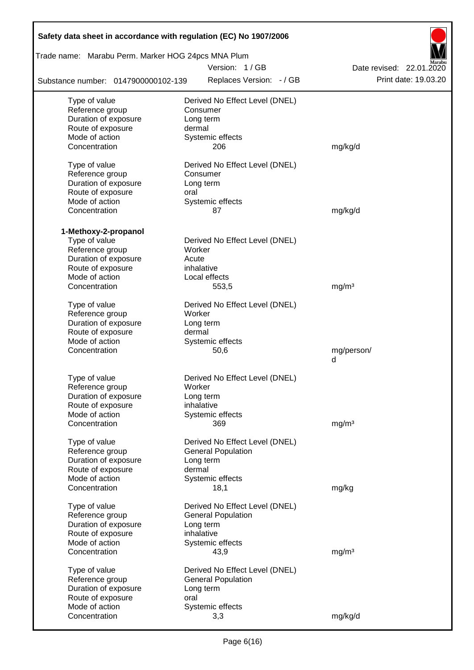| Safety data sheet in accordance with regulation (EC) No 1907/2006 |                                |                          |  |  |  |  |  |  |
|-------------------------------------------------------------------|--------------------------------|--------------------------|--|--|--|--|--|--|
| Trade name: Marabu Perm. Marker HOG 24pcs MNA Plum                |                                |                          |  |  |  |  |  |  |
|                                                                   | Version: 1/GB                  | Date revised: 22.01.2020 |  |  |  |  |  |  |
| Substance number: 0147900000102-139                               | Replaces Version: - / GB       | Print date: 19.03.20     |  |  |  |  |  |  |
| Type of value                                                     | Derived No Effect Level (DNEL) |                          |  |  |  |  |  |  |
| Reference group                                                   | Consumer                       |                          |  |  |  |  |  |  |
| Duration of exposure                                              | Long term                      |                          |  |  |  |  |  |  |
| Route of exposure                                                 | dermal                         |                          |  |  |  |  |  |  |
| Mode of action                                                    | Systemic effects               |                          |  |  |  |  |  |  |
| Concentration                                                     | 206                            | mg/kg/d                  |  |  |  |  |  |  |
| Type of value                                                     | Derived No Effect Level (DNEL) |                          |  |  |  |  |  |  |
| Reference group                                                   | Consumer                       |                          |  |  |  |  |  |  |
| Duration of exposure                                              | Long term                      |                          |  |  |  |  |  |  |
| Route of exposure                                                 | oral                           |                          |  |  |  |  |  |  |
| Mode of action                                                    | Systemic effects               |                          |  |  |  |  |  |  |
| Concentration                                                     | 87                             | mg/kg/d                  |  |  |  |  |  |  |
| 1-Methoxy-2-propanol                                              |                                |                          |  |  |  |  |  |  |
| Type of value                                                     | Derived No Effect Level (DNEL) |                          |  |  |  |  |  |  |
| Reference group                                                   | Worker                         |                          |  |  |  |  |  |  |
| Duration of exposure                                              | Acute                          |                          |  |  |  |  |  |  |
| Route of exposure                                                 | inhalative                     |                          |  |  |  |  |  |  |
| Mode of action                                                    | Local effects                  |                          |  |  |  |  |  |  |
| Concentration                                                     | 553,5                          | mg/m <sup>3</sup>        |  |  |  |  |  |  |
|                                                                   |                                |                          |  |  |  |  |  |  |
| Type of value                                                     | Derived No Effect Level (DNEL) |                          |  |  |  |  |  |  |
| Reference group                                                   | Worker                         |                          |  |  |  |  |  |  |
| Duration of exposure                                              | Long term                      |                          |  |  |  |  |  |  |
| Route of exposure                                                 | dermal                         |                          |  |  |  |  |  |  |
| Mode of action                                                    | Systemic effects               |                          |  |  |  |  |  |  |
| Concentration                                                     | 50,6                           | mg/person/               |  |  |  |  |  |  |
|                                                                   |                                | d                        |  |  |  |  |  |  |
| Type of value                                                     | Derived No Effect Level (DNEL) |                          |  |  |  |  |  |  |
| Reference group                                                   | Worker                         |                          |  |  |  |  |  |  |
| Duration of exposure                                              | Long term                      |                          |  |  |  |  |  |  |
| Route of exposure                                                 | inhalative                     |                          |  |  |  |  |  |  |
| Mode of action                                                    | Systemic effects               |                          |  |  |  |  |  |  |
| Concentration                                                     | 369                            | mg/m <sup>3</sup>        |  |  |  |  |  |  |
| Type of value                                                     | Derived No Effect Level (DNEL) |                          |  |  |  |  |  |  |
| Reference group                                                   | <b>General Population</b>      |                          |  |  |  |  |  |  |
| Duration of exposure                                              | Long term                      |                          |  |  |  |  |  |  |
| Route of exposure                                                 | dermal                         |                          |  |  |  |  |  |  |
| Mode of action                                                    | Systemic effects               |                          |  |  |  |  |  |  |
| Concentration                                                     | 18,1                           | mg/kg                    |  |  |  |  |  |  |
|                                                                   |                                |                          |  |  |  |  |  |  |
| Type of value                                                     | Derived No Effect Level (DNEL) |                          |  |  |  |  |  |  |
| Reference group                                                   | <b>General Population</b>      |                          |  |  |  |  |  |  |
| Duration of exposure                                              | Long term                      |                          |  |  |  |  |  |  |
| Route of exposure<br>Mode of action                               | inhalative                     |                          |  |  |  |  |  |  |
| Concentration                                                     | Systemic effects<br>43,9       | mg/m <sup>3</sup>        |  |  |  |  |  |  |
|                                                                   |                                |                          |  |  |  |  |  |  |
| Type of value                                                     | Derived No Effect Level (DNEL) |                          |  |  |  |  |  |  |
| Reference group                                                   | <b>General Population</b>      |                          |  |  |  |  |  |  |
| Duration of exposure                                              | Long term                      |                          |  |  |  |  |  |  |
| Route of exposure                                                 | oral                           |                          |  |  |  |  |  |  |
| Mode of action                                                    | Systemic effects               |                          |  |  |  |  |  |  |
| Concentration                                                     | 3,3                            | mg/kg/d                  |  |  |  |  |  |  |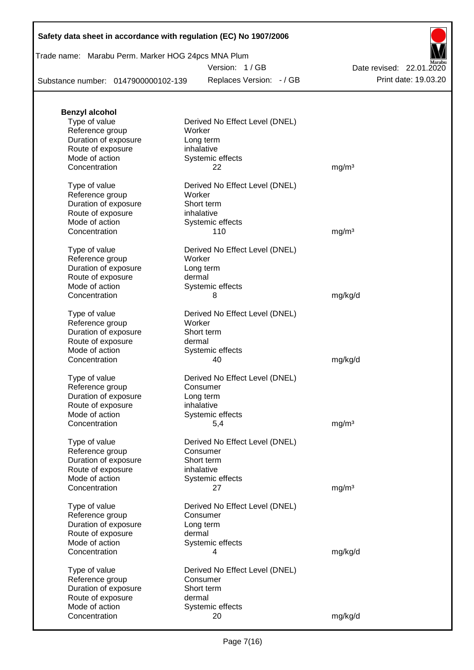|  | Safety data sheet in accordance with regulation (EC) No 1907/2006 |  |
|--|-------------------------------------------------------------------|--|
|--|-------------------------------------------------------------------|--|

## Trade name: Marabu Perm. Marker HOG 24pcs MNA Plum

Version: 1 / GB

Replaces Version: - / GB Print date: 19.03.20 Date revised: 22.01.2020

Substance number: 0147900000102-139

| <b>Benzyl alcohol</b>               |                                |                   |
|-------------------------------------|--------------------------------|-------------------|
| Type of value                       | Derived No Effect Level (DNEL) |                   |
| Reference group                     | Worker                         |                   |
| Duration of exposure                | Long term                      |                   |
| Route of exposure                   | inhalative                     |                   |
| Mode of action                      | Systemic effects               |                   |
| Concentration                       | 22                             | mg/m <sup>3</sup> |
|                                     |                                |                   |
| Type of value                       | Derived No Effect Level (DNEL) |                   |
| Reference group                     | Worker                         |                   |
| Duration of exposure                | Short term                     |                   |
| Route of exposure                   | inhalative                     |                   |
| Mode of action                      | Systemic effects               |                   |
| Concentration                       | 110                            | mg/m <sup>3</sup> |
|                                     |                                |                   |
| Type of value                       | Derived No Effect Level (DNEL) |                   |
| Reference group                     | Worker                         |                   |
| Duration of exposure                | Long term                      |                   |
| Route of exposure                   | dermal                         |                   |
| Mode of action                      | Systemic effects               |                   |
| Concentration                       | 8                              | mg/kg/d           |
|                                     |                                |                   |
| Type of value                       | Derived No Effect Level (DNEL) |                   |
| Reference group                     | Worker                         |                   |
| Duration of exposure                | Short term                     |                   |
| Route of exposure                   | dermal                         |                   |
| Mode of action                      | Systemic effects               |                   |
| Concentration                       | 40                             | mg/kg/d           |
|                                     |                                |                   |
| Type of value                       | Derived No Effect Level (DNEL) |                   |
| Reference group                     | Consumer                       |                   |
| Duration of exposure                | Long term                      |                   |
| Route of exposure                   | inhalative                     |                   |
| Mode of action                      | Systemic effects               |                   |
| Concentration                       | 5,4                            | mg/m <sup>3</sup> |
|                                     |                                |                   |
| Type of value                       | Derived No Effect Level (DNEL) |                   |
| Reference group                     | Consumer                       |                   |
| Duration of exposure                | Short term                     |                   |
| Route of exposure                   | inhalative                     |                   |
| Mode of action                      | Systemic effects               |                   |
| Concentration                       | 27                             | mg/m <sup>3</sup> |
| Type of value                       | Derived No Effect Level (DNEL) |                   |
| Reference group                     | Consumer                       |                   |
| Duration of exposure                | Long term                      |                   |
|                                     | dermal                         |                   |
| Route of exposure<br>Mode of action |                                |                   |
|                                     | Systemic effects               |                   |
| Concentration                       | 4                              | mg/kg/d           |
| Type of value                       | Derived No Effect Level (DNEL) |                   |
| Reference group                     | Consumer                       |                   |
| Duration of exposure                | Short term                     |                   |
| Route of exposure                   | dermal                         |                   |
| Mode of action                      | Systemic effects               |                   |
| Concentration                       | 20                             | mg/kg/d           |
|                                     |                                |                   |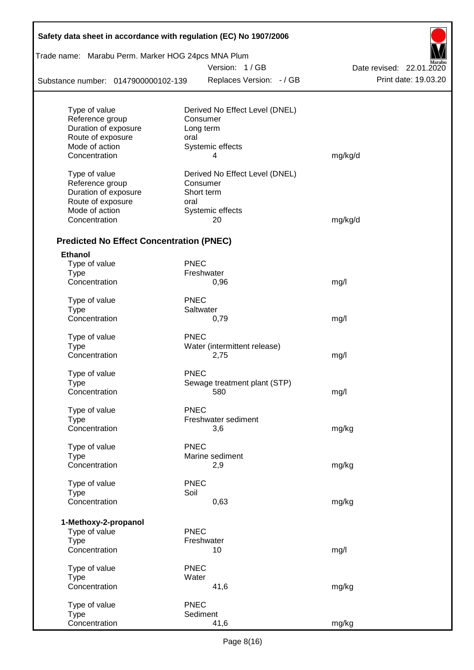| Safety data sheet in accordance with regulation (EC) No 1907/2006 |             |                                |                          |
|-------------------------------------------------------------------|-------------|--------------------------------|--------------------------|
| Trade name: Marabu Perm. Marker HOG 24pcs MNA Plum                |             |                                |                          |
|                                                                   |             | Version: 1/GB                  | Date revised: 22.01.2020 |
| Substance number: 0147900000102-139                               |             | Replaces Version: - / GB       | Print date: 19.03.20     |
| Type of value                                                     |             | Derived No Effect Level (DNEL) |                          |
| Reference group                                                   |             | Consumer                       |                          |
| Duration of exposure                                              |             | Long term                      |                          |
| Route of exposure                                                 | oral        |                                |                          |
| Mode of action                                                    |             | Systemic effects               |                          |
| Concentration                                                     |             | 4                              | mg/kg/d                  |
| Type of value                                                     |             | Derived No Effect Level (DNEL) |                          |
| Reference group                                                   |             | Consumer                       |                          |
| Duration of exposure                                              |             | Short term                     |                          |
| Route of exposure                                                 | oral        |                                |                          |
| Mode of action                                                    |             | Systemic effects               |                          |
| Concentration                                                     |             | 20                             | mg/kg/d                  |
| <b>Predicted No Effect Concentration (PNEC)</b>                   |             |                                |                          |
| <b>Ethanol</b>                                                    |             |                                |                          |
| Type of value                                                     | <b>PNEC</b> |                                |                          |
| <b>Type</b>                                                       |             | Freshwater                     |                          |
| Concentration                                                     |             | 0,96                           | mg/l                     |
| Type of value                                                     | <b>PNEC</b> |                                |                          |
| <b>Type</b>                                                       |             | Saltwater                      |                          |
| Concentration                                                     |             | 0,79                           | mg/l                     |
| Type of value                                                     | <b>PNEC</b> |                                |                          |
| <b>Type</b>                                                       |             | Water (intermittent release)   |                          |
| Concentration                                                     |             | 2,75                           | mg/l                     |
| Type of value                                                     | <b>PNEC</b> |                                |                          |
| Type                                                              |             | Sewage treatment plant (STP)   |                          |
| Concentration                                                     |             | 580                            | mg/l                     |
| Type of value                                                     | <b>PNEC</b> |                                |                          |
| <b>Type</b>                                                       |             | Freshwater sediment            |                          |
| Concentration                                                     |             | 3,6                            | mg/kg                    |
| Type of value                                                     | <b>PNEC</b> |                                |                          |
| <b>Type</b>                                                       |             | Marine sediment                |                          |
| Concentration                                                     |             | 2,9                            | mg/kg                    |
| Type of value                                                     | <b>PNEC</b> |                                |                          |
| <b>Type</b>                                                       | Soil        |                                |                          |
| Concentration                                                     |             | 0,63                           | mg/kg                    |
| 1-Methoxy-2-propanol                                              |             |                                |                          |
| Type of value                                                     | <b>PNEC</b> |                                |                          |
| <b>Type</b>                                                       |             | Freshwater                     |                          |
| Concentration                                                     |             | 10                             | mg/l                     |
| Type of value                                                     | <b>PNEC</b> |                                |                          |
| <b>Type</b>                                                       | Water       |                                |                          |
| Concentration                                                     |             | 41,6                           | mg/kg                    |
| Type of value                                                     | <b>PNEC</b> |                                |                          |
| <b>Type</b>                                                       |             | Sediment                       |                          |
| Concentration                                                     |             | 41,6                           | mg/kg                    |

 $\mathsf{r}$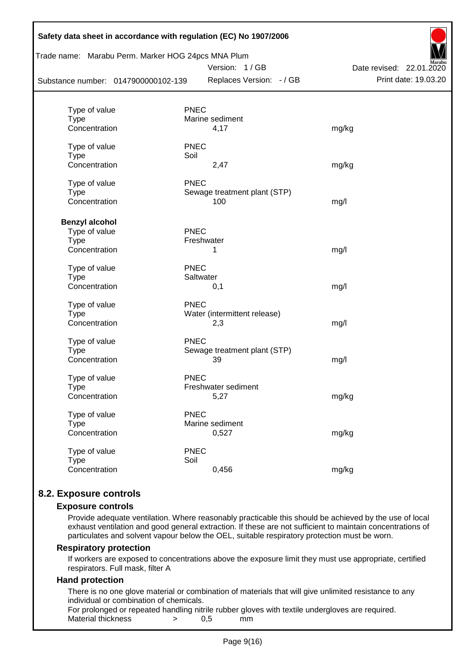| Safety data sheet in accordance with regulation (EC) No 1907/2006<br>Trade name: Marabu Perm. Marker HOG 24pcs MNA Plum<br>Version: 1/GB<br>Date revised: 22.01.2020 |                                             |                      |  |  |  |  |
|----------------------------------------------------------------------------------------------------------------------------------------------------------------------|---------------------------------------------|----------------------|--|--|--|--|
| Substance number: 0147900000102-139                                                                                                                                  | Replaces Version: - / GB                    | Print date: 19.03.20 |  |  |  |  |
|                                                                                                                                                                      |                                             |                      |  |  |  |  |
| Type of value                                                                                                                                                        | <b>PNEC</b>                                 |                      |  |  |  |  |
| <b>Type</b><br>Concentration                                                                                                                                         | Marine sediment<br>4,17                     | mg/kg                |  |  |  |  |
|                                                                                                                                                                      |                                             |                      |  |  |  |  |
| Type of value<br><b>Type</b>                                                                                                                                         | <b>PNEC</b><br>Soil                         |                      |  |  |  |  |
| Concentration                                                                                                                                                        | 2,47                                        | mg/kg                |  |  |  |  |
|                                                                                                                                                                      |                                             |                      |  |  |  |  |
| Type of value<br><b>Type</b>                                                                                                                                         | <b>PNEC</b><br>Sewage treatment plant (STP) |                      |  |  |  |  |
| Concentration                                                                                                                                                        | 100                                         | mg/l                 |  |  |  |  |
|                                                                                                                                                                      |                                             |                      |  |  |  |  |
| <b>Benzyl alcohol</b>                                                                                                                                                |                                             |                      |  |  |  |  |
| Type of value                                                                                                                                                        | <b>PNEC</b><br>Freshwater                   |                      |  |  |  |  |
| <b>Type</b><br>Concentration                                                                                                                                         | 1                                           | mg/l                 |  |  |  |  |
|                                                                                                                                                                      |                                             |                      |  |  |  |  |
| Type of value                                                                                                                                                        | <b>PNEC</b>                                 |                      |  |  |  |  |
| <b>Type</b><br>Concentration                                                                                                                                         | Saltwater<br>0,1                            | mg/l                 |  |  |  |  |
|                                                                                                                                                                      |                                             |                      |  |  |  |  |
| Type of value<br><b>Type</b>                                                                                                                                         | <b>PNEC</b><br>Water (intermittent release) |                      |  |  |  |  |
| Concentration                                                                                                                                                        | 2,3                                         | mg/l                 |  |  |  |  |
|                                                                                                                                                                      |                                             |                      |  |  |  |  |
| Type of value<br>Type                                                                                                                                                | <b>PNEC</b><br>Sewage treatment plant (STP) |                      |  |  |  |  |
| Concentration                                                                                                                                                        | 39                                          | mg/l                 |  |  |  |  |
|                                                                                                                                                                      |                                             |                      |  |  |  |  |
| Type of value<br><b>Type</b>                                                                                                                                         | <b>PNEC</b><br>Freshwater sediment          |                      |  |  |  |  |
| Concentration                                                                                                                                                        | 5,27                                        | mg/kg                |  |  |  |  |
|                                                                                                                                                                      |                                             |                      |  |  |  |  |
| Type of value                                                                                                                                                        | <b>PNEC</b><br>Marine sediment              |                      |  |  |  |  |
| <b>Type</b><br>Concentration                                                                                                                                         | 0,527                                       | mg/kg                |  |  |  |  |
|                                                                                                                                                                      |                                             |                      |  |  |  |  |
| Type of value                                                                                                                                                        | <b>PNEC</b>                                 |                      |  |  |  |  |
| <b>Type</b><br>Concentration                                                                                                                                         | Soil<br>0,456                               | mg/kg                |  |  |  |  |
|                                                                                                                                                                      |                                             |                      |  |  |  |  |

## **8.2. Exposure controls**

#### **Exposure controls**

Provide adequate ventilation. Where reasonably practicable this should be achieved by the use of local exhaust ventilation and good general extraction. If these are not sufficient to maintain concentrations of particulates and solvent vapour below the OEL, suitable respiratory protection must be worn.

#### **Respiratory protection**

If workers are exposed to concentrations above the exposure limit they must use appropriate, certified respirators. Full mask, filter A

#### **Hand protection**

There is no one glove material or combination of materials that will give unlimited resistance to any individual or combination of chemicals.

For prolonged or repeated handling nitrile rubber gloves with textile undergloves are required. Material thickness  $\rightarrow$  0,5 mm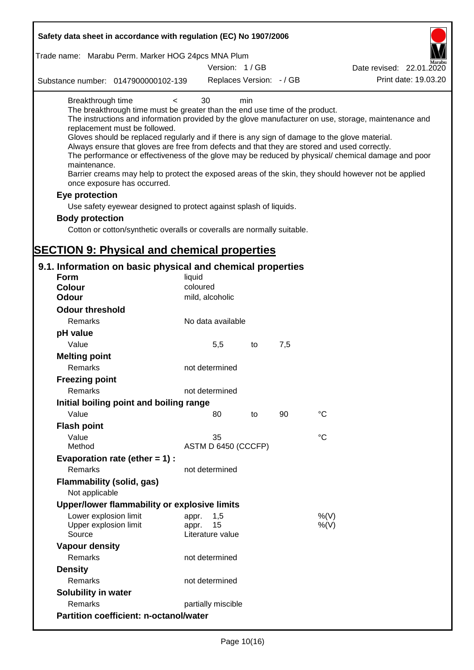| Safety data sheet in accordance with regulation (EC) No 1907/2006                                                                                                                                                                                                                                                                                                                            |                                 |     |     |                                                                                                                                                                                                                                                                                                                    |
|----------------------------------------------------------------------------------------------------------------------------------------------------------------------------------------------------------------------------------------------------------------------------------------------------------------------------------------------------------------------------------------------|---------------------------------|-----|-----|--------------------------------------------------------------------------------------------------------------------------------------------------------------------------------------------------------------------------------------------------------------------------------------------------------------------|
| Trade name: Marabu Perm. Marker HOG 24pcs MNA Plum                                                                                                                                                                                                                                                                                                                                           |                                 |     |     |                                                                                                                                                                                                                                                                                                                    |
|                                                                                                                                                                                                                                                                                                                                                                                              | Version: 1/GB                   |     |     | Date revised: 22.01.2020                                                                                                                                                                                                                                                                                           |
| Substance number: 0147900000102-139                                                                                                                                                                                                                                                                                                                                                          | Replaces Version: - / GB        |     |     | Print date: 19.03.20                                                                                                                                                                                                                                                                                               |
| Breakthrough time<br>$\prec$<br>The breakthrough time must be greater than the end use time of the product.<br>replacement must be followed.<br>Gloves should be replaced regularly and if there is any sign of damage to the glove material.<br>Always ensure that gloves are free from defects and that they are stored and used correctly.<br>maintenance.<br>once exposure has occurred. | 30                              | min |     | The instructions and information provided by the glove manufacturer on use, storage, maintenance and<br>The performance or effectiveness of the glove may be reduced by physical/ chemical damage and poor<br>Barrier creams may help to protect the exposed areas of the skin, they should however not be applied |
| Eye protection                                                                                                                                                                                                                                                                                                                                                                               |                                 |     |     |                                                                                                                                                                                                                                                                                                                    |
| Use safety eyewear designed to protect against splash of liquids.                                                                                                                                                                                                                                                                                                                            |                                 |     |     |                                                                                                                                                                                                                                                                                                                    |
| <b>Body protection</b>                                                                                                                                                                                                                                                                                                                                                                       |                                 |     |     |                                                                                                                                                                                                                                                                                                                    |
| Cotton or cotton/synthetic overalls or coveralls are normally suitable.                                                                                                                                                                                                                                                                                                                      |                                 |     |     |                                                                                                                                                                                                                                                                                                                    |
|                                                                                                                                                                                                                                                                                                                                                                                              |                                 |     |     |                                                                                                                                                                                                                                                                                                                    |
| <b>SECTION 9: Physical and chemical properties</b>                                                                                                                                                                                                                                                                                                                                           |                                 |     |     |                                                                                                                                                                                                                                                                                                                    |
| 9.1. Information on basic physical and chemical properties                                                                                                                                                                                                                                                                                                                                   |                                 |     |     |                                                                                                                                                                                                                                                                                                                    |
| Form                                                                                                                                                                                                                                                                                                                                                                                         | liquid                          |     |     |                                                                                                                                                                                                                                                                                                                    |
| <b>Colour</b>                                                                                                                                                                                                                                                                                                                                                                                | coloured                        |     |     |                                                                                                                                                                                                                                                                                                                    |
| <b>Odour</b>                                                                                                                                                                                                                                                                                                                                                                                 | mild, alcoholic                 |     |     |                                                                                                                                                                                                                                                                                                                    |
| <b>Odour threshold</b>                                                                                                                                                                                                                                                                                                                                                                       |                                 |     |     |                                                                                                                                                                                                                                                                                                                    |
| Remarks                                                                                                                                                                                                                                                                                                                                                                                      | No data available               |     |     |                                                                                                                                                                                                                                                                                                                    |
| pH value                                                                                                                                                                                                                                                                                                                                                                                     |                                 |     |     |                                                                                                                                                                                                                                                                                                                    |
| Value                                                                                                                                                                                                                                                                                                                                                                                        | 5,5                             | to  | 7,5 |                                                                                                                                                                                                                                                                                                                    |
| <b>Melting point</b>                                                                                                                                                                                                                                                                                                                                                                         |                                 |     |     |                                                                                                                                                                                                                                                                                                                    |
| Remarks                                                                                                                                                                                                                                                                                                                                                                                      | not determined                  |     |     |                                                                                                                                                                                                                                                                                                                    |
| <b>Freezing point</b>                                                                                                                                                                                                                                                                                                                                                                        |                                 |     |     |                                                                                                                                                                                                                                                                                                                    |
| Remarks                                                                                                                                                                                                                                                                                                                                                                                      | not determined                  |     |     |                                                                                                                                                                                                                                                                                                                    |
| Initial boiling point and boiling range                                                                                                                                                                                                                                                                                                                                                      |                                 |     |     |                                                                                                                                                                                                                                                                                                                    |
| Value                                                                                                                                                                                                                                                                                                                                                                                        | 80                              | to  | 90  | $^{\circ}C$                                                                                                                                                                                                                                                                                                        |
| <b>Flash point</b>                                                                                                                                                                                                                                                                                                                                                                           |                                 |     |     |                                                                                                                                                                                                                                                                                                                    |
| Value                                                                                                                                                                                                                                                                                                                                                                                        | 35                              |     |     | °C                                                                                                                                                                                                                                                                                                                 |
| Method                                                                                                                                                                                                                                                                                                                                                                                       | ASTM D 6450 (CCCFP)             |     |     |                                                                                                                                                                                                                                                                                                                    |
| Evaporation rate (ether $= 1$ ) :                                                                                                                                                                                                                                                                                                                                                            |                                 |     |     |                                                                                                                                                                                                                                                                                                                    |
| Remarks                                                                                                                                                                                                                                                                                                                                                                                      | not determined                  |     |     |                                                                                                                                                                                                                                                                                                                    |
| Flammability (solid, gas)<br>Not applicable                                                                                                                                                                                                                                                                                                                                                  |                                 |     |     |                                                                                                                                                                                                                                                                                                                    |
| Upper/lower flammability or explosive limits                                                                                                                                                                                                                                                                                                                                                 |                                 |     |     |                                                                                                                                                                                                                                                                                                                    |
| Lower explosion limit                                                                                                                                                                                                                                                                                                                                                                        | 1,5<br>appr.                    |     |     | %(V)                                                                                                                                                                                                                                                                                                               |
| Upper explosion limit<br>Source                                                                                                                                                                                                                                                                                                                                                              | 15<br>appr.<br>Literature value |     |     | %(V)                                                                                                                                                                                                                                                                                                               |
| <b>Vapour density</b>                                                                                                                                                                                                                                                                                                                                                                        |                                 |     |     |                                                                                                                                                                                                                                                                                                                    |
| Remarks                                                                                                                                                                                                                                                                                                                                                                                      | not determined                  |     |     |                                                                                                                                                                                                                                                                                                                    |
| <b>Density</b>                                                                                                                                                                                                                                                                                                                                                                               |                                 |     |     |                                                                                                                                                                                                                                                                                                                    |
| Remarks                                                                                                                                                                                                                                                                                                                                                                                      | not determined                  |     |     |                                                                                                                                                                                                                                                                                                                    |
| <b>Solubility in water</b>                                                                                                                                                                                                                                                                                                                                                                   |                                 |     |     |                                                                                                                                                                                                                                                                                                                    |
| Remarks                                                                                                                                                                                                                                                                                                                                                                                      | partially miscible              |     |     |                                                                                                                                                                                                                                                                                                                    |
| <b>Partition coefficient: n-octanol/water</b>                                                                                                                                                                                                                                                                                                                                                |                                 |     |     |                                                                                                                                                                                                                                                                                                                    |
|                                                                                                                                                                                                                                                                                                                                                                                              |                                 |     |     |                                                                                                                                                                                                                                                                                                                    |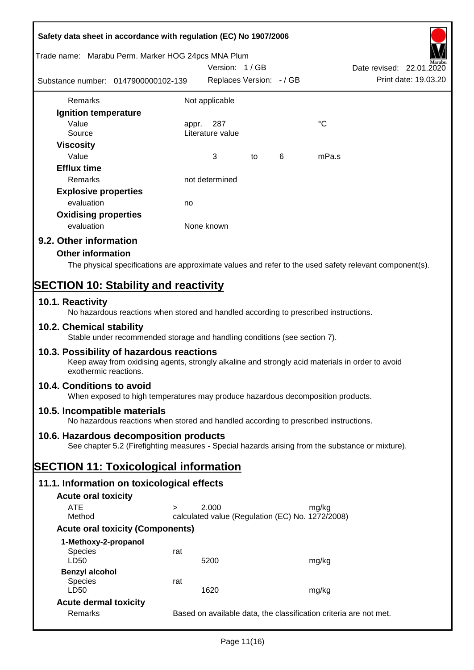| Safety data sheet in accordance with regulation (EC) No 1907/2006                                                                                                     |       |                                                  |    |   |             |                                                                   |
|-----------------------------------------------------------------------------------------------------------------------------------------------------------------------|-------|--------------------------------------------------|----|---|-------------|-------------------------------------------------------------------|
| Trade name: Marabu Perm. Marker HOG 24pcs MNA Plum                                                                                                                    |       |                                                  |    |   |             |                                                                   |
| Substance number: 0147900000102-139                                                                                                                                   |       | Version: 1/GB<br>Replaces Version: - / GB        |    |   |             | Date revised: 22.01.2020<br>Print date: 19.03.20                  |
| Remarks                                                                                                                                                               |       | Not applicable                                   |    |   |             |                                                                   |
| Ignition temperature                                                                                                                                                  |       |                                                  |    |   |             |                                                                   |
| Value                                                                                                                                                                 | appr. | 287                                              |    |   | $^{\circ}C$ |                                                                   |
| Source                                                                                                                                                                |       | Literature value                                 |    |   |             |                                                                   |
| <b>Viscosity</b>                                                                                                                                                      |       |                                                  |    |   |             |                                                                   |
| Value                                                                                                                                                                 |       | 3                                                | to | 6 | mPa.s       |                                                                   |
| <b>Efflux time</b><br><b>Remarks</b>                                                                                                                                  |       | not determined                                   |    |   |             |                                                                   |
| <b>Explosive properties</b>                                                                                                                                           |       |                                                  |    |   |             |                                                                   |
| evaluation                                                                                                                                                            | no    |                                                  |    |   |             |                                                                   |
| <b>Oxidising properties</b>                                                                                                                                           |       |                                                  |    |   |             |                                                                   |
| evaluation                                                                                                                                                            |       | None known                                       |    |   |             |                                                                   |
| 9.2. Other information                                                                                                                                                |       |                                                  |    |   |             |                                                                   |
| <b>Other information</b>                                                                                                                                              |       |                                                  |    |   |             |                                                                   |
| The physical specifications are approximate values and refer to the used safety relevant component(s).                                                                |       |                                                  |    |   |             |                                                                   |
|                                                                                                                                                                       |       |                                                  |    |   |             |                                                                   |
| <b>SECTION 10: Stability and reactivity</b>                                                                                                                           |       |                                                  |    |   |             |                                                                   |
| 10.1. Reactivity<br>No hazardous reactions when stored and handled according to prescribed instructions.                                                              |       |                                                  |    |   |             |                                                                   |
| 10.2. Chemical stability<br>Stable under recommended storage and handling conditions (see section 7).                                                                 |       |                                                  |    |   |             |                                                                   |
| 10.3. Possibility of hazardous reactions<br>Keep away from oxidising agents, strongly alkaline and strongly acid materials in order to avoid<br>exothermic reactions. |       |                                                  |    |   |             |                                                                   |
| 10.4. Conditions to avoid<br>When exposed to high temperatures may produce hazardous decomposition products.                                                          |       |                                                  |    |   |             |                                                                   |
| 10.5. Incompatible materials<br>No hazardous reactions when stored and handled according to prescribed instructions.                                                  |       |                                                  |    |   |             |                                                                   |
| 10.6. Hazardous decomposition products<br>See chapter 5.2 (Firefighting measures - Special hazards arising from the substance or mixture).                            |       |                                                  |    |   |             |                                                                   |
| <b>SECTION 11: Toxicological information</b>                                                                                                                          |       |                                                  |    |   |             |                                                                   |
| 11.1. Information on toxicological effects                                                                                                                            |       |                                                  |    |   |             |                                                                   |
| <b>Acute oral toxicity</b>                                                                                                                                            |       |                                                  |    |   |             |                                                                   |
| <b>ATE</b><br>$\geq$                                                                                                                                                  |       | 2.000                                            |    |   | mg/kg       |                                                                   |
| Method                                                                                                                                                                |       | calculated value (Regulation (EC) No. 1272/2008) |    |   |             |                                                                   |
| <b>Acute oral toxicity (Components)</b>                                                                                                                               |       |                                                  |    |   |             |                                                                   |
| 1-Methoxy-2-propanol                                                                                                                                                  |       |                                                  |    |   |             |                                                                   |
| <b>Species</b><br>LD50                                                                                                                                                | rat   | 5200                                             |    |   | mg/kg       |                                                                   |
| <b>Benzyl alcohol</b>                                                                                                                                                 |       |                                                  |    |   |             |                                                                   |
| <b>Species</b>                                                                                                                                                        | rat   |                                                  |    |   |             |                                                                   |
| LD50                                                                                                                                                                  |       | 1620                                             |    |   | mg/kg       |                                                                   |
| <b>Acute dermal toxicity</b><br>Remarks                                                                                                                               |       |                                                  |    |   |             | Based on available data, the classification criteria are not met. |
|                                                                                                                                                                       |       |                                                  |    |   |             |                                                                   |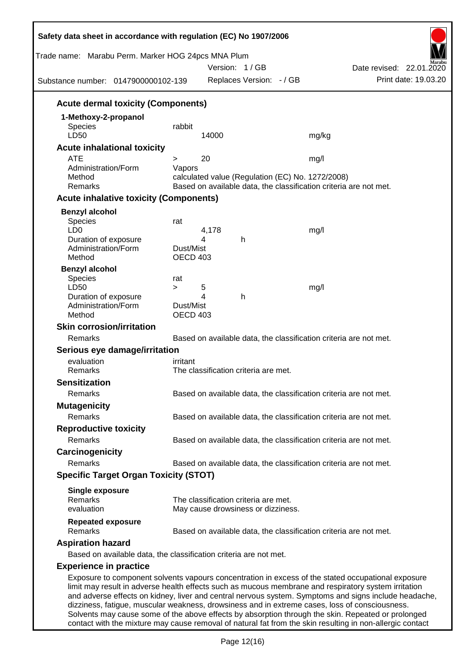| Trade name: Marabu Perm. Marker HOG 24pcs MNA Plum<br>Substance number: 0147900000102-139 |                              | Version: 1/GB<br>Replaces Version: - / GB        | Date revised: 22.01.2020<br>Print date: 19.03.20                                                                                                                                                                                                                                                                                                                                                                      |
|-------------------------------------------------------------------------------------------|------------------------------|--------------------------------------------------|-----------------------------------------------------------------------------------------------------------------------------------------------------------------------------------------------------------------------------------------------------------------------------------------------------------------------------------------------------------------------------------------------------------------------|
| <b>Acute dermal toxicity (Components)</b>                                                 |                              |                                                  |                                                                                                                                                                                                                                                                                                                                                                                                                       |
| 1-Methoxy-2-propanol                                                                      |                              |                                                  |                                                                                                                                                                                                                                                                                                                                                                                                                       |
| <b>Species</b><br>LD50                                                                    | rabbit                       | 14000                                            | mg/kg                                                                                                                                                                                                                                                                                                                                                                                                                 |
| <b>Acute inhalational toxicity</b>                                                        |                              |                                                  |                                                                                                                                                                                                                                                                                                                                                                                                                       |
| <b>ATE</b>                                                                                | >                            | 20                                               | mg/l                                                                                                                                                                                                                                                                                                                                                                                                                  |
| Administration/Form<br>Method<br>Remarks                                                  | Vapors                       | calculated value (Regulation (EC) No. 1272/2008) | Based on available data, the classification criteria are not met.                                                                                                                                                                                                                                                                                                                                                     |
| <b>Acute inhalative toxicity (Components)</b>                                             |                              |                                                  |                                                                                                                                                                                                                                                                                                                                                                                                                       |
| <b>Benzyl alcohol</b>                                                                     |                              |                                                  |                                                                                                                                                                                                                                                                                                                                                                                                                       |
| <b>Species</b><br>LD <sub>0</sub><br>Duration of exposure                                 | rat                          | 4,178<br>4<br>h                                  | mg/l                                                                                                                                                                                                                                                                                                                                                                                                                  |
| Administration/Form<br>Method                                                             | Dust/Mist<br><b>OECD 403</b> |                                                  |                                                                                                                                                                                                                                                                                                                                                                                                                       |
| <b>Benzyl alcohol</b><br>Species<br>LD50<br>Duration of exposure                          | rat<br>$\geq$                | 5<br>4<br>h                                      | mg/l                                                                                                                                                                                                                                                                                                                                                                                                                  |
| Administration/Form<br>Method                                                             | Dust/Mist<br><b>OECD 403</b> |                                                  |                                                                                                                                                                                                                                                                                                                                                                                                                       |
| <b>Skin corrosion/irritation</b>                                                          |                              |                                                  |                                                                                                                                                                                                                                                                                                                                                                                                                       |
| Remarks                                                                                   |                              |                                                  | Based on available data, the classification criteria are not met.                                                                                                                                                                                                                                                                                                                                                     |
| Serious eye damage/irritation                                                             |                              |                                                  |                                                                                                                                                                                                                                                                                                                                                                                                                       |
| evaluation<br>Remarks                                                                     | irritant                     | The classification criteria are met.             |                                                                                                                                                                                                                                                                                                                                                                                                                       |
| <b>Sensitization</b>                                                                      |                              |                                                  |                                                                                                                                                                                                                                                                                                                                                                                                                       |
| Remarks                                                                                   |                              |                                                  | Based on available data, the classification criteria are not met.                                                                                                                                                                                                                                                                                                                                                     |
| <b>Mutagenicity</b>                                                                       |                              |                                                  |                                                                                                                                                                                                                                                                                                                                                                                                                       |
| Remarks                                                                                   |                              |                                                  | Based on available data, the classification criteria are not met.                                                                                                                                                                                                                                                                                                                                                     |
| <b>Reproductive toxicity</b>                                                              |                              |                                                  |                                                                                                                                                                                                                                                                                                                                                                                                                       |
| Remarks                                                                                   |                              |                                                  | Based on available data, the classification criteria are not met.                                                                                                                                                                                                                                                                                                                                                     |
| Carcinogenicity                                                                           |                              |                                                  |                                                                                                                                                                                                                                                                                                                                                                                                                       |
| Remarks                                                                                   |                              |                                                  | Based on available data, the classification criteria are not met.                                                                                                                                                                                                                                                                                                                                                     |
| <b>Specific Target Organ Toxicity (STOT)</b>                                              |                              |                                                  |                                                                                                                                                                                                                                                                                                                                                                                                                       |
| <b>Single exposure</b><br>Remarks                                                         |                              | The classification criteria are met.             |                                                                                                                                                                                                                                                                                                                                                                                                                       |
| evaluation                                                                                |                              | May cause drowsiness or dizziness.               |                                                                                                                                                                                                                                                                                                                                                                                                                       |
| <b>Repeated exposure</b><br>Remarks                                                       |                              |                                                  | Based on available data, the classification criteria are not met.                                                                                                                                                                                                                                                                                                                                                     |
| <b>Aspiration hazard</b>                                                                  |                              |                                                  |                                                                                                                                                                                                                                                                                                                                                                                                                       |
| Based on available data, the classification criteria are not met.                         |                              |                                                  |                                                                                                                                                                                                                                                                                                                                                                                                                       |
| <b>Experience in practice</b>                                                             |                              |                                                  |                                                                                                                                                                                                                                                                                                                                                                                                                       |
|                                                                                           |                              |                                                  | Exposure to component solvents vapours concentration in excess of the stated occupational exposure<br>limit may result in adverse health effects such as mucous membrane and respiratory system irritation<br>and adverse effects on kidney, liver and central nervous system. Symptoms and signs include headache,<br>dizziness, fatigue, muscular weakness, drowsiness and in extreme cases, loss of consciousness. |

Solvents may cause some of the above effects by absorption through the skin. Repeated or prolonged contact with the mixture may cause removal of natural fat from the skin resulting in non-allergic contact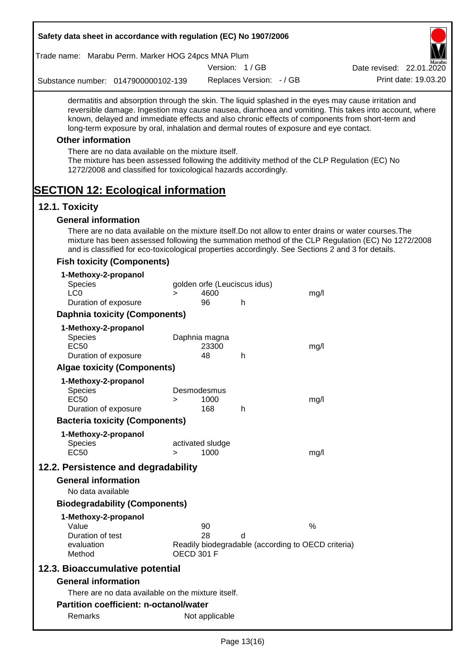| Safety data sheet in accordance with regulation (EC) No 1907/2006                                                                                                                                                                                                                                                                                                                                                                                                                                                                                                                                 |                   |                              |                                   |                                                         |                                                                                                       |
|---------------------------------------------------------------------------------------------------------------------------------------------------------------------------------------------------------------------------------------------------------------------------------------------------------------------------------------------------------------------------------------------------------------------------------------------------------------------------------------------------------------------------------------------------------------------------------------------------|-------------------|------------------------------|-----------------------------------|---------------------------------------------------------|-------------------------------------------------------------------------------------------------------|
| Trade name: Marabu Perm. Marker HOG 24pcs MNA Plum                                                                                                                                                                                                                                                                                                                                                                                                                                                                                                                                                |                   |                              | Version: 1/GB                     |                                                         | Date revised: 22.01.2020                                                                              |
| Substance number: 0147900000102-139                                                                                                                                                                                                                                                                                                                                                                                                                                                                                                                                                               |                   |                              | Replaces Version: - / GB          |                                                         | Print date: 19.03.20                                                                                  |
| dermatitis and absorption through the skin. The liquid splashed in the eyes may cause irritation and<br>known, delayed and immediate effects and also chronic effects of components from short-term and<br>long-term exposure by oral, inhalation and dermal routes of exposure and eye contact.<br><b>Other information</b><br>There are no data available on the mixture itself.<br>The mixture has been assessed following the additivity method of the CLP Regulation (EC) No<br>1272/2008 and classified for toxicological hazards accordingly.<br><b>SECTION 12: Ecological information</b> |                   |                              |                                   |                                                         | reversible damage. Ingestion may cause nausea, diarrhoea and vomiting. This takes into account, where |
| 12.1. Toxicity                                                                                                                                                                                                                                                                                                                                                                                                                                                                                                                                                                                    |                   |                              |                                   |                                                         |                                                                                                       |
| <b>General information</b>                                                                                                                                                                                                                                                                                                                                                                                                                                                                                                                                                                        |                   |                              |                                   |                                                         |                                                                                                       |
| There are no data available on the mixture itself. Do not allow to enter drains or water courses. The<br>and is classified for eco-toxicological properties accordingly. See Sections 2 and 3 for details.                                                                                                                                                                                                                                                                                                                                                                                        |                   |                              |                                   |                                                         | mixture has been assessed following the summation method of the CLP Regulation (EC) No 1272/2008      |
| <b>Fish toxicity (Components)</b>                                                                                                                                                                                                                                                                                                                                                                                                                                                                                                                                                                 |                   |                              |                                   |                                                         |                                                                                                       |
| 1-Methoxy-2-propanol<br><b>Species</b><br>LC <sub>0</sub><br>Duration of exposure                                                                                                                                                                                                                                                                                                                                                                                                                                                                                                                 | >                 | 4600<br>96                   | golden orfe (Leuciscus idus)<br>h | mg/l                                                    |                                                                                                       |
| <b>Daphnia toxicity (Components)</b>                                                                                                                                                                                                                                                                                                                                                                                                                                                                                                                                                              |                   |                              |                                   |                                                         |                                                                                                       |
| 1-Methoxy-2-propanol                                                                                                                                                                                                                                                                                                                                                                                                                                                                                                                                                                              |                   |                              |                                   |                                                         |                                                                                                       |
| <b>Species</b><br>EC <sub>50</sub><br>Duration of exposure                                                                                                                                                                                                                                                                                                                                                                                                                                                                                                                                        |                   | Daphnia magna<br>23300<br>48 | h.                                | mg/l                                                    |                                                                                                       |
| <b>Algae toxicity (Components)</b>                                                                                                                                                                                                                                                                                                                                                                                                                                                                                                                                                                |                   |                              |                                   |                                                         |                                                                                                       |
| 1-Methoxy-2-propanol<br><b>Species</b><br><b>EC50</b><br>Duration of exposure                                                                                                                                                                                                                                                                                                                                                                                                                                                                                                                     | $\geq$            | Desmodesmus<br>1000<br>168   | h                                 | mg/l                                                    |                                                                                                       |
| <b>Bacteria toxicity (Components)</b>                                                                                                                                                                                                                                                                                                                                                                                                                                                                                                                                                             |                   |                              |                                   |                                                         |                                                                                                       |
| 1-Methoxy-2-propanol<br><b>Species</b><br><b>EC50</b>                                                                                                                                                                                                                                                                                                                                                                                                                                                                                                                                             | $\geq$            | activated sludge<br>1000     |                                   | mg/l                                                    |                                                                                                       |
| 12.2. Persistence and degradability                                                                                                                                                                                                                                                                                                                                                                                                                                                                                                                                                               |                   |                              |                                   |                                                         |                                                                                                       |
| <b>General information</b><br>No data available                                                                                                                                                                                                                                                                                                                                                                                                                                                                                                                                                   |                   |                              |                                   |                                                         |                                                                                                       |
| <b>Biodegradability (Components)</b>                                                                                                                                                                                                                                                                                                                                                                                                                                                                                                                                                              |                   |                              |                                   |                                                         |                                                                                                       |
| 1-Methoxy-2-propanol<br>Value<br>Duration of test<br>evaluation<br>Method                                                                                                                                                                                                                                                                                                                                                                                                                                                                                                                         | <b>OECD 301 F</b> | 90<br>28                     | d                                 | %<br>Readily biodegradable (according to OECD criteria) |                                                                                                       |
| 12.3. Bioaccumulative potential                                                                                                                                                                                                                                                                                                                                                                                                                                                                                                                                                                   |                   |                              |                                   |                                                         |                                                                                                       |
| <b>General information</b>                                                                                                                                                                                                                                                                                                                                                                                                                                                                                                                                                                        |                   |                              |                                   |                                                         |                                                                                                       |
| There are no data available on the mixture itself.                                                                                                                                                                                                                                                                                                                                                                                                                                                                                                                                                |                   |                              |                                   |                                                         |                                                                                                       |
| <b>Partition coefficient: n-octanol/water</b>                                                                                                                                                                                                                                                                                                                                                                                                                                                                                                                                                     |                   |                              |                                   |                                                         |                                                                                                       |
| Remarks                                                                                                                                                                                                                                                                                                                                                                                                                                                                                                                                                                                           |                   | Not applicable               |                                   |                                                         |                                                                                                       |
|                                                                                                                                                                                                                                                                                                                                                                                                                                                                                                                                                                                                   |                   |                              |                                   |                                                         |                                                                                                       |

 $\overline{\phantom{a}}$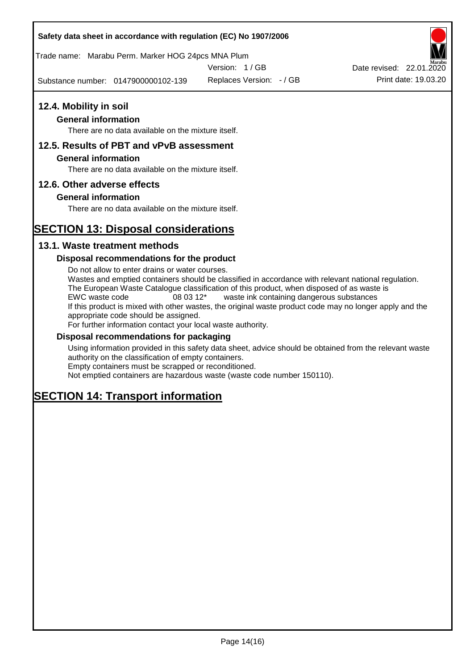## **Safety data sheet in accordance with regulation (EC) No 1907/2006**

Trade name: Marabu Perm. Marker HOG 24pcs MNA Plum

Version: 1 / GB

Substance number: 0147900000102-139

Replaces Version: - / GB Print date: 19.03.20 Date revised: 22.01.2020

# **12.4. Mobility in soil**

## **General information**

There are no data available on the mixture itself.

## **12.5. Results of PBT and vPvB assessment**

## **General information**

There are no data available on the mixture itself.

## **12.6. Other adverse effects**

## **General information**

There are no data available on the mixture itself.

## **SECTION 13: Disposal considerations**

## **13.1. Waste treatment methods**

## **Disposal recommendations for the product**

Do not allow to enter drains or water courses. Wastes and emptied containers should be classified in accordance with relevant national regulation. The European Waste Catalogue classification of this product, when disposed of as waste is EWC waste code 08 03 12\* waste ink containing dangerous substances If this product is mixed with other wastes, the original waste product code may no longer apply and the appropriate code should be assigned. For further information contact your local waste authority.

## **Disposal recommendations for packaging**

Using information provided in this safety data sheet, advice should be obtained from the relevant waste authority on the classification of empty containers. Empty containers must be scrapped or reconditioned.

Not emptied containers are hazardous waste (waste code number 150110).

## **SECTION 14: Transport information**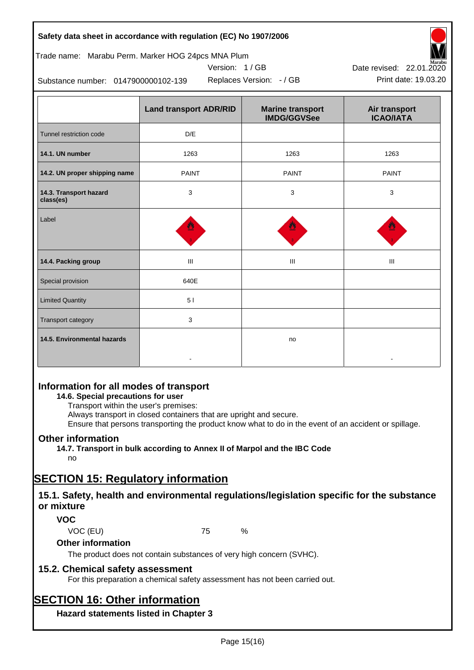| Safety data sheet in accordance with regulation (EC) No 1907/2006 |  |
|-------------------------------------------------------------------|--|
|-------------------------------------------------------------------|--|

## Trade name: Marabu Perm. Marker HOG 24pcs MNA Plum

Version: 1 / GB



Substance number: 0147900000102-139

|                                     | <b>Land transport ADR/RID</b> | <b>Marine transport</b><br><b>IMDG/GGVSee</b> | Air transport<br><b>ICAO/IATA</b> |
|-------------------------------------|-------------------------------|-----------------------------------------------|-----------------------------------|
| Tunnel restriction code             | D/E                           |                                               |                                   |
| 14.1. UN number                     | 1263                          | 1263                                          | 1263                              |
| 14.2. UN proper shipping name       | <b>PAINT</b>                  | <b>PAINT</b>                                  | <b>PAINT</b>                      |
| 14.3. Transport hazard<br>class(es) | 3                             | 3                                             | 3                                 |
| Label                               |                               |                                               |                                   |
| 14.4. Packing group                 | Ш                             | Ш                                             | Ш                                 |
| Special provision                   | 640E                          |                                               |                                   |
| <b>Limited Quantity</b>             | 5 <sub>1</sub>                |                                               |                                   |
| Transport category                  | 3                             |                                               |                                   |
| 14.5. Environmental hazards         |                               | no                                            |                                   |

## **Information for all modes of transport**

## **14.6. Special precautions for user**

Transport within the user's premises:

Always transport in closed containers that are upright and secure.

Ensure that persons transporting the product know what to do in the event of an accident or spillage.

## **Other information**

**14.7. Transport in bulk according to Annex II of Marpol and the IBC Code**

## no

## **SECTION 15: Regulatory information**

## **15.1. Safety, health and environmental regulations/legislation specific for the substance or mixture**

## **VOC**

VOC (EU) 75 %

## **Other information**

The product does not contain substances of very high concern (SVHC).

## **15.2. Chemical safety assessment**

For this preparation a chemical safety assessment has not been carried out.

## **SECTION 16: Other information**

**Hazard statements listed in Chapter 3**